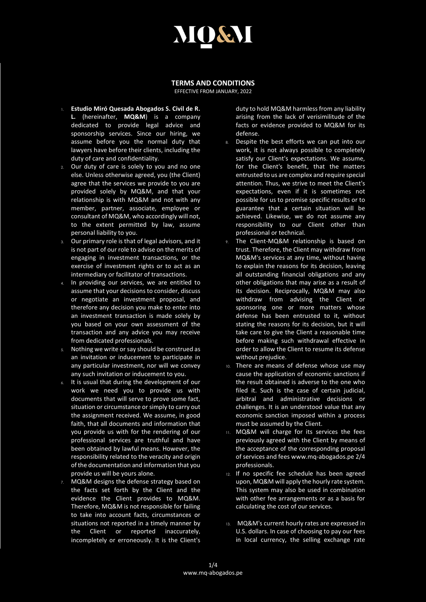## MOGI

## **TERMS AND CONDITIONS**

EFFECTIVE FROM JANUARY, 2022

- 1. **Estudio Miró Quesada Abogados S. Civil de R. L.** (hereinafter, **MQ&M**) is a company dedicated to provide legal advice and sponsorship services. Since our hiring, we assume before you the normal duty that lawyers have before their clients, including the duty of care and confidentiality.
- 2. Our duty of care is solely to you and no one else. Unless otherwise agreed, you (the Client) agree that the services we provide to you are provided solely by MQ&M, and that your relationship is with MQ&M and not with any member, partner, associate, employee or consultant of MQ&M, who accordingly will not, to the extent permitted by law, assume personal liability to you.
- 3. Our primary role is that of legal advisors, and it is not part of our role to advise on the merits of engaging in investment transactions, or the exercise of investment rights or to act as an intermediary or facilitator of transactions.
- In providing our services, we are entitled to assume that your decisions to consider, discuss or negotiate an investment proposal, and therefore any decision you make to enter into an investment transaction is made solely by you based on your own assessment of the transaction and any advice you may receive from dedicated professionals.
- 5. Nothing we write or say should be construed as an invitation or inducement to participate in any particular investment, nor will we convey any such invitation or inducement to you.
- It is usual that during the development of our work we need you to provide us with documents that will serve to prove some fact, situation or circumstance or simply to carry out the assignment received. We assume, in good faith, that all documents and information that you provide us with for the rendering of our professional services are truthful and have been obtained by lawful means. However, the responsibility related to the veracity and origin of the documentation and information that you provide us will be yours alone.
- 7. MQ&M designs the defense strategy based on the facts set forth by the Client and the evidence the Client provides to MQ&M. Therefore, MQ&M is not responsible for failing to take into account facts, circumstances or situations not reported in a timely manner by the Client or reported inaccurately, incompletely or erroneously. It is the Client's

duty to hold MQ&M harmless from any liability arising from the lack of verisimilitude of the facts or evidence provided to MQ&M for its defense.

- 8. Despite the best efforts we can put into our work, it is not always possible to completely satisfy our Client's expectations. We assume, for the Client's benefit, that the matters entrusted to us are complex and require special attention. Thus, we strive to meet the Client's expectations, even if it is sometimes not possible for us to promise specific results or to guarantee that a certain situation will be achieved. Likewise, we do not assume any responsibility to our Client other than professional or technical.
- 9. The Client-MQ&M relationship is based on trust. Therefore, the Client may withdraw from MQ&M's services at any time, without having to explain the reasons for its decision, leaving all outstanding financial obligations and any other obligations that may arise as a result of its decision. Reciprocally, MQ&M may also withdraw from advising the Client or sponsoring one or more matters whose defense has been entrusted to it, without stating the reasons for its decision, but it will take care to give the Client a reasonable time before making such withdrawal effective in order to allow the Client to resume its defense without prejudice.
- 10. There are means of defense whose use may cause the application of economic sanctions if the result obtained is adverse to the one who filed it. Such is the case of certain judicial, arbitral and administrative decisions or challenges. It is an understood value that any economic sanction imposed within a process must be assumed by the Client.
- 11. MQ&M will charge for its services the fees previously agreed with the Client by means of the acceptance of the corresponding proposal of services and fees www.mq-abogados.pe 2/4 professionals.
- 12. If no specific fee schedule has been agreed upon, MQ&M will apply the hourly rate system. This system may also be used in combination with other fee arrangements or as a basis for calculating the cost of our services.
- 13. MQ&M's current hourly rates are expressed in U.S. dollars. In case of choosing to pay our fees in local currency, the selling exchange rate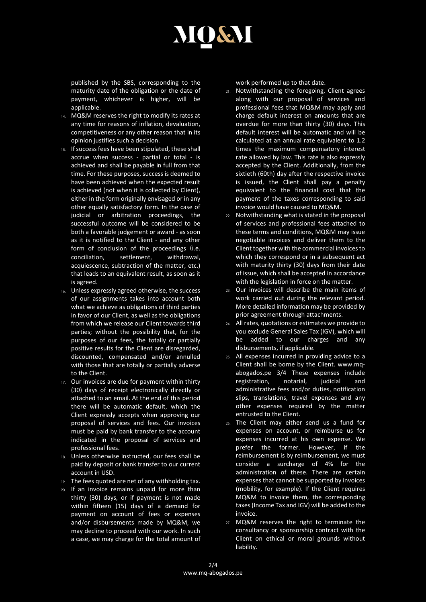

published by the SBS, corresponding to the maturity date of the obligation or the date of payment, whichever is higher, will be applicable.

- 14. MQ&M reserves the right to modify its rates at any time for reasons of inflation, devaluation, competitiveness or any other reason that in its opinion justifies such a decision.
- 15. If success fees have been stipulated, these shall accrue when success - partial or total - is achieved and shall be payable in full from that time. For these purposes, success is deemed to have been achieved when the expected result is achieved (not when it is collected by Client), either in the form originally envisaged or in any other equally satisfactory form. In the case of judicial or arbitration proceedings, the successful outcome will be considered to be both a favorable judgement or award - as soon as it is notified to the Client - and any other form of conclusion of the proceedings (i.e. conciliation, settlement, withdrawal, acquiescence, subtraction of the matter, etc.) that leads to an equivalent result, as soon as it is agreed.
- 16. Unless expressly agreed otherwise, the success of our assignments takes into account both what we achieve as obligations of third parties in favor of our Client, as well as the obligations from which we release our Client towards third parties; without the possibility that, for the purposes of our fees, the totally or partially positive results for the Client are disregarded, discounted, compensated and/or annulled with those that are totally or partially adverse to the Client.
- 17. Our invoices are due for payment within thirty (30) days of receipt electronically directly or attached to an email. At the end of this period there will be automatic default, which the Client expressly accepts when approving our proposal of services and fees. Our invoices must be paid by bank transfer to the account indicated in the proposal of services and professional fees.
- 18. Unless otherwise instructed, our fees shall be paid by deposit or bank transfer to our current account in USD.
- 19. The fees quoted are net of any withholding tax.
- 20. If an invoice remains unpaid for more than thirty (30) days, or if payment is not made within fifteen (15) days of a demand for payment on account of fees or expenses and/or disbursements made by MQ&M, we may decline to proceed with our work. In such a case, we may charge for the total amount of

work performed up to that date.

- 21. Notwithstanding the foregoing, Client agrees along with our proposal of services and professional fees that MQ&M may apply and charge default interest on amounts that are overdue for more than thirty (30) days. This default interest will be automatic and will be calculated at an annual rate equivalent to 1.2 times the maximum compensatory interest rate allowed by law. This rate is also expressly accepted by the Client. Additionally, from the sixtieth (60th) day after the respective invoice is issued, the Client shall pay a penalty equivalent to the financial cost that the payment of the taxes corresponding to said invoice would have caused to MQ&M.
- 22. Notwithstanding what is stated in the proposal of services and professional fees attached to these terms and conditions, MQ&M may issue negotiable invoices and deliver them to the Client together with the commercial invoices to which they correspond or in a subsequent act with maturity thirty (30) days from their date of issue, which shall be accepted in accordance with the legislation in force on the matter.
- 23. Our invoices will describe the main items of work carried out during the relevant period. More detailed information may be provided by prior agreement through attachments.
- 24. All rates, quotations or estimates we provide to you exclude General Sales Tax (IGV), which will be added to our charges and any disbursements, if applicable.
- 25. All expenses incurred in providing advice to a Client shall be borne by the Client. www.mqabogados.pe 3/4 These expenses include registration, notarial, judicial and administrative fees and/or duties, notification slips, translations, travel expenses and any other expenses required by the matter entrusted to the Client.
- 26. The Client may either send us a fund for expenses on account, or reimburse us for expenses incurred at his own expense. We prefer the former. However, if the reimbursement is by reimbursement, we must consider a surcharge of 4% for the administration of these. There are certain expenses that cannot be supported by invoices (mobility, for example). If the Client requires MQ&M to invoice them, the corresponding taxes (Income Tax and IGV) will be added to the invoice.
- 27. MQ&M reserves the right to terminate the consultancy or sponsorship contract with the Client on ethical or moral grounds without liability.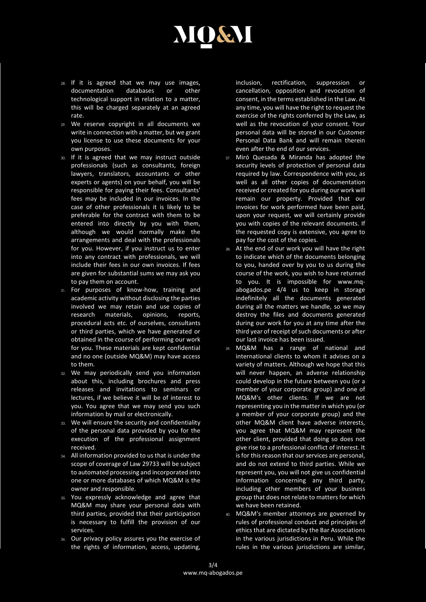

- 28. If it is agreed that we may use images, documentation databases or other technological support in relation to a matter, this will be charged separately at an agreed rate.
- 29. We reserve copyright in all documents we write in connection with a matter, but we grant you license to use these documents for your own purposes.
- 30. If it is agreed that we may instruct outside professionals (such as consultants, foreign lawyers, translators, accountants or other experts or agents) on your behalf, you will be responsible for paying their fees. Consultants' fees may be included in our invoices. In the case of other professionals it is likely to be preferable for the contract with them to be entered into directly by you with them, although we would normally make the arrangements and deal with the professionals for you. However, if you instruct us to enter into any contract with professionals, we will include their fees in our own invoices. If fees are given for substantial sums we may ask you to pay them on account.
- 31. For purposes of know-how, training and academic activity without disclosing the parties involved we may retain and use copies of research materials, opinions, reports, procedural acts etc. of ourselves, consultants or third parties, which we have generated or obtained in the course of performing our work for you. These materials are kept confidential and no one (outside MQ&M) may have access to them.
- 32. We may periodically send you information about this, including brochures and press releases and invitations to seminars or lectures, if we believe it will be of interest to you. You agree that we may send you such information by mail or electronically.
- 33. We will ensure the security and confidentiality of the personal data provided by you for the execution of the professional assignment received.
- 34. All information provided to us that is under the scope of coverage of Law 29733 will be subject to automated processing and incorporated into one or more databases of which MQ&M is the owner and responsible.
- 35. You expressly acknowledge and agree that MQ&M may share your personal data with third parties, provided that their participation is necessary to fulfill the provision of our services.
- 36. Our privacy policy assures you the exercise of the rights of information, access, updating,

inclusion, rectification, suppression or cancellation, opposition and revocation of consent, in the terms established in the Law. At any time, you will have the right to request the exercise of the rights conferred by the Law, as well as the revocation of your consent. Your personal data will be stored in our Customer Personal Data Bank and will remain therein even after the end of our services.

- 37. Miró Quesada & Miranda has adopted the security levels of protection of personal data required by law. Correspondence with you, as well as all other copies of documentation received or created for you during our work will remain our property. Provided that our invoices for work performed have been paid, upon your request, we will certainly provide you with copies of the relevant documents. If the requested copy is extensive, you agree to pay for the cost of the copies.
- 38. At the end of our work you will have the right to indicate which of the documents belonging to you, handed over by you to us during the course of the work, you wish to have returned to you. It is impossible for www.mqabogados.pe 4/4 us to keep in storage indefinitely all the documents generated during all the matters we handle, so we may destroy the files and documents generated during our work for you at any time after the third year of receipt of such documents or after our last invoice has been issued.
- 39. MQ&M has a range of national and international clients to whom it advises on a variety of matters. Although we hope that this will never happen, an adverse relationship could develop in the future between you (or a member of your corporate group) and one of MQ&M's other clients. If we are not representing you in the matter in which you (or a member of your corporate group) and the other MQ&M client have adverse interests, you agree that MQ&M may represent the other client, provided that doing so does not give rise to a professional conflict of interest. It is for this reason that our services are personal, and do not extend to third parties. While we represent you, you will not give us confidential information concerning any third party, including other members of your business group that does not relate to matters for which we have been retained.
- 40. MQ&M's member attorneys are governed by rules of professional conduct and principles of ethics that are dictated by the Bar Associations in the various jurisdictions in Peru. While the rules in the various jurisdictions are similar,